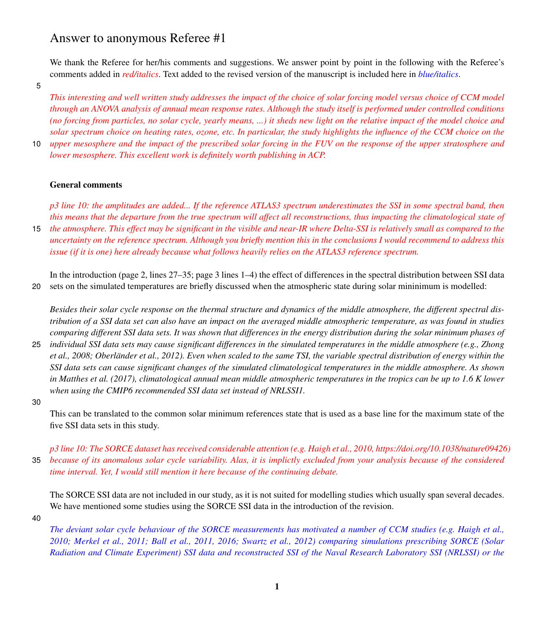# Answer to anonymous Referee #1

We thank the Referee for her/his comments and suggestions. We answer point by point in the following with the Referee's comments added in *red/italics*. Text added to the revised version of the manuscript is included here in *blue/italics*.

5

*This interesting and well written study addresses the impact of the choice of solar forcing model versus choice of CCM model through an ANOVA analysis of annual mean response rates. Although the study itself is performed under controlled conditions (no forcing from particles, no solar cycle, yearly means, ...) it sheds new light on the relative impact of the model choice and solar spectrum choice on heating rates, ozone, etc. In particular, the study highlights the influence of the CCM choice on the*

10 *upper mesosphere and the impact of the prescribed solar forcing in the FUV on the response of the upper stratosphere and lower mesosphere. This excellent work is definitely worth publishing in ACP.*

### General comments

*p3 line 10: the amplitudes are added... If the reference ATLAS3 spectrum underestimates the SSI in some spectral band, then this means that the departure from the true spectrum will affect all reconstructions, thus impacting the climatological state of* 15 *the atmosphere. This effect may be significant in the visible and near-IR where Delta-SSI is relatively small as compared to the uncertainty on the reference spectrum. Although you briefly mention this in the conclusions I would recommend to address this issue (if it is one) here already because what follows heavily relies on the ATLAS3 reference spectrum.*

In the introduction (page 2, lines 27–35; page 3 lines 1–4) the effect of differences in the spectral distribution between SSI data 20 sets on the simulated temperatures are briefly discussed when the atmospheric state during solar mininimum is modelled:

*Besides their solar cycle response on the thermal structure and dynamics of the middle atmosphere, the different spectral distribution of a SSI data set can also have an impact on the averaged middle atmospheric temperature, as was found in studies comparing different SSI data sets. It was shown that differences in the energy distribution during the solar minimum phases of*

- 25 *[i](#page-4-0)ndividual SSI data sets may cause significant differences in the simulated temperatures in the middle atmosphere (e.g., [Zhong](#page-4-0) [et al., 2008;](#page-4-0) [Oberländer et al., 2012\)](#page-4-1). Even when scaled to the same TSI, the variable spectral distribution of energy within the SSI data sets can cause significant changes of the simulated climatological temperatures in the middle atmosphere. As shown in [Matthes et al.](#page-4-2) [\(2017\)](#page-4-2), climatological annual mean middle atmospheric temperatures in the tropics can be up to 1.6 K lower when using the CMIP6 recommended SSI data set instead of NRLSSI1.*
- 30

This can be translated to the common solar minimum references state that is used as a base line for the maximum state of the five SSI data sets in this study.

*p3 line 10: The SORCE dataset has received considerable attention (e.g. Haigh et al., 2010, https://doi.org/10.1038/nature09426)* 35 *because of its anomalous solar cycle variability. Alas, it is implictly excluded from your analysis because of the considered time interval. Yet, I would still mention it here because of the continuing debate.*

The SORCE SSI data are not included in our study, as it is not suited for modelling studies which usually span several decades. We have mentioned some studies using the SORCE SSI data in the introduction of the revision.

40

*The deviant solar cycle behaviour of the SORCE measurements has motivated a number of CCM studies (e.g. [Haigh et al.,](#page-4-3) [2010;](#page-4-3) [Merkel et al., 2011;](#page-4-4) [Ball et al., 2011,](#page-4-5) [2016;](#page-4-6) [Swartz et al., 2012\)](#page-4-7) comparing simulations prescribing SORCE (Solar Radiation and Climate Experiment) SSI data and reconstructed SSI of the Naval Research Laboratory SSI (NRLSSI) or the*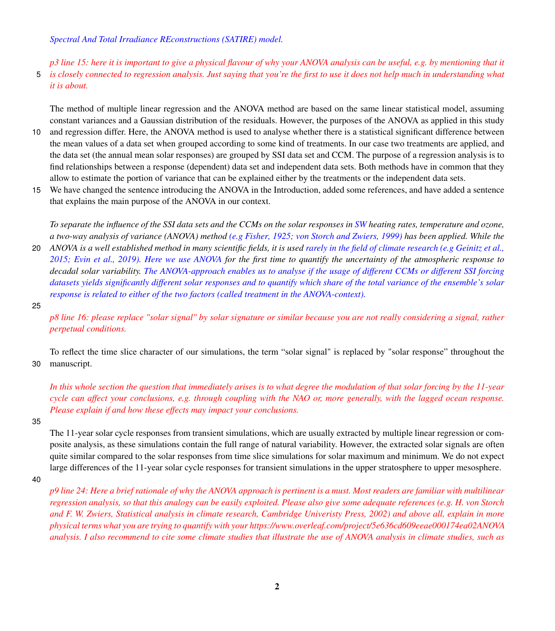*Spectral And Total Irradiance REconstructions (SATIRE) model.*

*p3 line 15: here it is important to give a physical flavour of why your ANOVA analysis can be useful, e.g. by mentioning that it* 5 *is closely connected to regression analysis. Just saying that you're the first to use it does not help much in understanding what it is about.*

The method of multiple linear regression and the ANOVA method are based on the same linear statistical model, assuming constant variances and a Gaussian distribution of the residuals. However, the purposes of the ANOVA as applied in this study

- 10 and regression differ. Here, the ANOVA method is used to analyse whether there is a statistical significant difference between the mean values of a data set when grouped according to some kind of treatments. In our case two treatments are applied, and the data set (the annual mean solar responses) are grouped by SSI data set and CCM. The purpose of a regression analysis is to find relationships between a response (dependent) data set and independent data sets. Both methods have in common that they allow to estimate the portion of variance that can be explained either by the treatments or the independent data sets.
- 15 We have changed the sentence introducing the ANOVA in the Introduction, added some references, and have added a sentence that explains the main purpose of the ANOVA in our context.

*To separate the influence of the SSI data sets and the CCMs on the solar responses in SW heating rates, temperature and ozone, a two-way analysis of variance (ANOVA) method (e.g [Fisher, 1925;](#page-4-8) [von Storch and Zwiers, 1999\)](#page-4-9) has been applied. While the*

- 20 *ANOVA is a well established method in many scientific fields, it is used rarely in the field of climate research (e.g [Geinitz et al.,](#page-4-10) [2015;](#page-4-10) [Evin et al., 2019\)](#page-4-11). Here we use ANOVA for the first time to quantify the uncertainty of the atmospheric response to decadal solar variability. The ANOVA-approach enables us to analyse if the usage of different CCMs or different SSI forcing datasets yields significantly different solar responses and to quantify which share of the total variance of the ensemble's solar response is related to either of the two factors (called treatment in the ANOVA-context).*
- 25

*p8 line 16: please replace "solar signal" by solar signature or similar because you are not really considering a signal, rather perpetual conditions.*

To reflect the time slice character of our simulations, the term "solar signal" is replaced by "solar response" throughout the 30 manuscript.

*In this whole section the question that immediately arises is to what degree the modulation of that solar forcing by the 11-year cycle can affect your conclusions, e.g. through coupling with the NAO or, more generally, with the lagged ocean response. Please explain if and how these effects may impact your conclusions.*

35

The 11-year solar cycle responses from transient simulations, which are usually extracted by multiple linear regression or composite analysis, as these simulations contain the full range of natural variability. However, the extracted solar signals are often quite similar compared to the solar responses from time slice simulations for solar maximum and minimum. We do not expect large differences of the 11-year solar cycle responses for transient simulations in the upper stratosphere to upper mesosphere.

*p9 line 24: Here a brief rationale of why the ANOVA approach is pertinent is a must. Most readers are familiar with multilinear regression analysis, so that this analogy can be easily exploited. Please also give some adequate references (e.g. H. von Storch and F. W. Zwiers, Statistical analysis in climate research, Cambridge Univeristy Press, 2002) and above all, explain in more physical terms what you are trying to quantify with your https://www.overleaf.com/project/5e636cd609eeae000174ea02ANOVA analysis. I also recommend to cite some climate studies that illustrate the use of ANOVA analysis in climate studies, such as*

<sup>40</sup>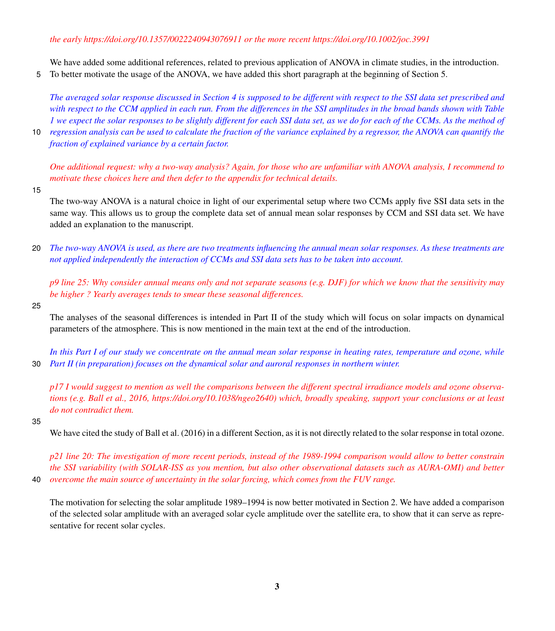### *the early https://doi.org/10.1357/0022240943076911 or the more recent https://doi.org/10.1002/joc.3991*

We have added some additional references, related to previous application of ANOVA in climate studies, in the introduction. 5 To better motivate the usage of the ANOVA, we have added this short paragraph at the beginning of Section 5.

*The averaged solar response discussed in Section 4 is supposed to be different with respect to the SSI data set prescribed and with respect to the CCM applied in each run. From the differences in the SSI amplitudes in the broad bands shown with Table 1 we expect the solar responses to be slightly different for each SSI data set, as we do for each of the CCMs. As the method of*

10 *regression analysis can be used to calculate the fraction of the variance explained by a regressor, the ANOVA can quantify the fraction of explained variance by a certain factor.*

*One additional request: why a two-way analysis? Again, for those who are unfamiliar with ANOVA analysis, I recommend to motivate these choices here and then defer to the appendix for technical details.*

15

The two-way ANOVA is a natural choice in light of our experimental setup where two CCMs apply five SSI data sets in the same way. This allows us to group the complete data set of annual mean solar responses by CCM and SSI data set. We have added an explanation to the manuscript.

20 *The two-way ANOVA is used, as there are two treatments influencing the annual mean solar responses. As these treatments are not applied independently the interaction of CCMs and SSI data sets has to be taken into account.*

*p9 line 25: Why consider annual means only and not separate seasons (e.g. DJF) for which we know that the sensitivity may be higher ? Yearly averages tends to smear these seasonal differences.*

25

The analyses of the seasonal differences is intended in Part II of the study which will focus on solar impacts on dynamical parameters of the atmosphere. This is now mentioned in the main text at the end of the introduction.

*In this Part I of our study we concentrate on the annual mean solar response in heating rates, temperature and ozone, while* 30 *Part II (in preparation) focuses on the dynamical solar and auroral responses in northern winter.*

*p17 I would suggest to mention as well the comparisons between the different spectral irradiance models and ozone observations (e.g. Ball et al., 2016, https://doi.org/10.1038/ngeo2640) which, broadly speaking, support your conclusions or at least do not contradict them.*

We have cited the study of [Ball et al.](#page-4-6) [\(2016\)](#page-4-6) in a different Section, as it is not directly related to the solar response in total ozone.

*p21 line 20: The investigation of more recent periods, instead of the 1989-1994 comparison would allow to better constrain the SSI variability (with SOLAR-ISS as you mention, but also other observational datasets such as AURA-OMI) and better* 40 *overcome the main source of uncertainty in the solar forcing, which comes from the FUV range.*

The motivation for selecting the solar amplitude 1989–1994 is now better motivated in Section 2. We have added a comparison of the selected solar amplitude with an averaged solar cycle amplitude over the satellite era, to show that it can serve as representative for recent solar cycles.

<sup>35</sup>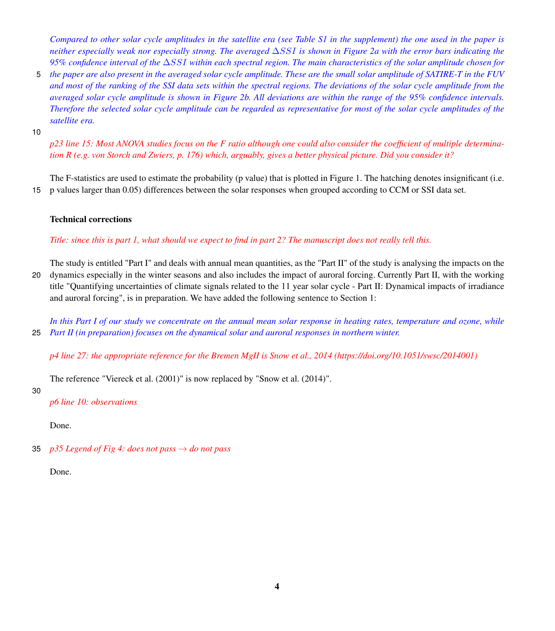*Compared to other solar cycle amplitudes in the satellite era (see Table S1 in the supplement) the one used in the paper is neither especially weak nor especially strong. The averaged* ∆SSI *is shown in Figure 2a with the error bars indicating the 95% confidence interval of the* ∆SSI *within each spectral region. The main characteristics of the solar amplitude chosen for*

- 5 *the paper are also present in the averaged solar cycle amplitude. These are the small solar amplitude of SATIRE-T in the FUV and most of the ranking of the SSI data sets within the spectral regions. The deviations of the solar cycle amplitude from the averaged solar cycle amplitude is shown in Figure 2b. All deviations are within the range of the 95% confidence intervals. Therefore the selected solar cycle amplitude can be regarded as representative for most of the solar cycle amplitudes of the satellite era.*
- 10

*p23 line 15: Most ANOVA studies focus on the F ratio although one could also consider the coefficient of multiple determination R (e.g. von Storch and Zwiers, p. 176) which, arguably, gives a better physical picture. Did you consider it?*

The F-statistics are used to estimate the probability (p value) that is plotted in Figure 1. The hatching denotes insignificant (i.e. 15 p values larger than 0.05) differences between the solar responses when grouped according to CCM or SSI data set.

# Technical corrections

# *Title: since this is part 1, what should we expect to find in part 2? The manuscript does not really tell this.*

The study is entitled "Part I" and deals with annual mean quantities, as the "Part II" of the study is analysing the impacts on the 20 dynamics especially in the winter seasons and also includes the impact of auroral forcing. Currently Part II, with the working title "Quantifying uncertainties of climate signals related to the 11 year solar cycle - Part II: Dynamical impacts of irradiance and auroral forcing", is in preparation. We have added the following sentence to Section 1:

*In this Part I of our study we concentrate on the annual mean solar response in heating rates, temperature and ozone, while* 25 *Part II (in preparation) focuses on the dynamical solar and auroral responses in northern winter.*

*p4 line 27: the appropriate reference for the Bremen MgII is Snow et al., 2014 (https://doi.org/10.1051/swsc/2014001)*

The reference "Viereck et al. (2001)" is now replaced by "Snow et al. (2014)".

30

*p6 line 10: observations*

Done.

35 *p35 Legend of Fig 4: does not pass*  $\rightarrow$  *do not pass* 

Done.